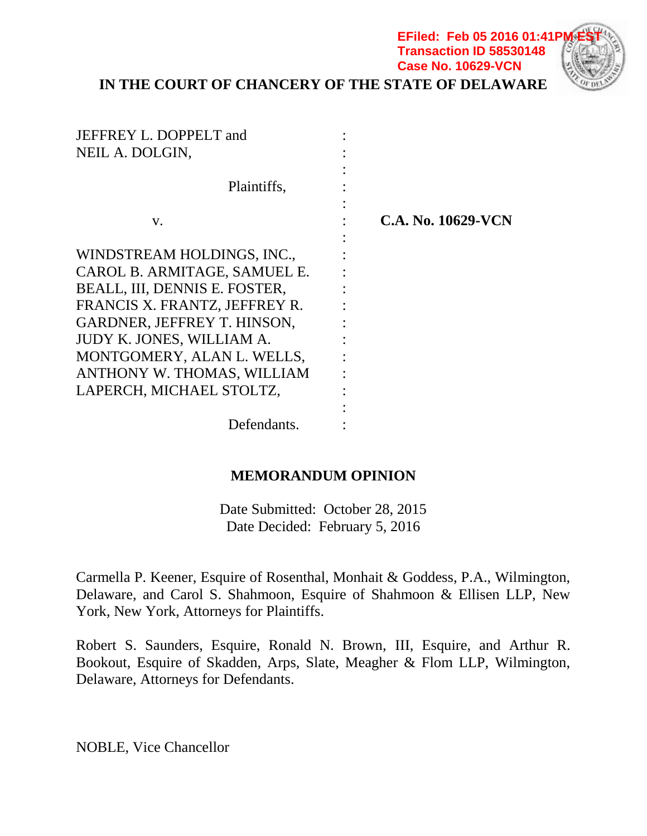**IN THE COURT OF CHANCERY OF THE STATE OF DELAWARE**

**EFiled: Feb 05 2016 01:41F Transaction ID 58530148 Case No. 10629-VCN**

| JEFFREY L. DOPPELT and<br>NEIL A. DOLGIN, |                    |  |
|-------------------------------------------|--------------------|--|
| Plaintiffs,                               |                    |  |
| V.                                        | C.A. No. 10629-VCN |  |
| WINDSTREAM HOLDINGS, INC.,                |                    |  |
| CAROL B. ARMITAGE, SAMUEL E.              |                    |  |
| BEALL, III, DENNIS E. FOSTER,             |                    |  |
| FRANCIS X. FRANTZ, JEFFREY R.             |                    |  |
| GARDNER, JEFFREY T. HINSON,               |                    |  |
| JUDY K. JONES, WILLIAM A.                 |                    |  |
| MONTGOMERY, ALAN L. WELLS,                |                    |  |
| ANTHONY W. THOMAS, WILLIAM                |                    |  |
| LAPERCH, MICHAEL STOLTZ,                  |                    |  |
|                                           |                    |  |
| Defendants.                               |                    |  |

## **MEMORANDUM OPINION**

Date Submitted: October 28, 2015 Date Decided: February 5, 2016

Carmella P. Keener, Esquire of Rosenthal, Monhait & Goddess, P.A., Wilmington, Delaware, and Carol S. Shahmoon, Esquire of Shahmoon & Ellisen LLP, New York, New York, Attorneys for Plaintiffs.

Robert S. Saunders, Esquire, Ronald N. Brown, III, Esquire, and Arthur R. Bookout, Esquire of Skadden, Arps, Slate, Meagher & Flom LLP, Wilmington, Delaware, Attorneys for Defendants.

NOBLE, Vice Chancellor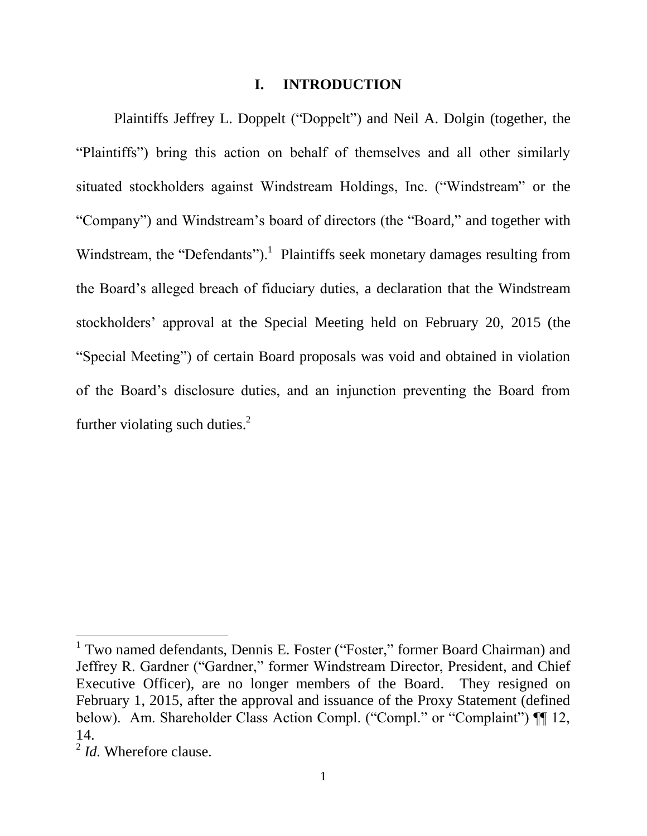#### **I. INTRODUCTION**

Plaintiffs Jeffrey L. Doppelt ("Doppelt") and Neil A. Dolgin (together, the "Plaintiffs") bring this action on behalf of themselves and all other similarly situated stockholders against Windstream Holdings, Inc. ("Windstream" or the "Company") and Windstream's board of directors (the "Board," and together with Windstream, the "Defendants").<sup>1</sup> Plaintiffs seek monetary damages resulting from the Board's alleged breach of fiduciary duties, a declaration that the Windstream stockholders' approval at the Special Meeting held on February 20, 2015 (the "Special Meeting") of certain Board proposals was void and obtained in violation of the Board's disclosure duties, and an injunction preventing the Board from further violating such duties. $<sup>2</sup>$ </sup>

<sup>&</sup>lt;sup>1</sup> Two named defendants, Dennis E. Foster ("Foster," former Board Chairman) and Jeffrey R. Gardner ("Gardner," former Windstream Director, President, and Chief Executive Officer), are no longer members of the Board. They resigned on February 1, 2015, after the approval and issuance of the Proxy Statement (defined below). Am. Shareholder Class Action Compl. ("Compl." or "Complaint")  $\P$  12, 14.

<sup>2</sup> *Id.* Wherefore clause.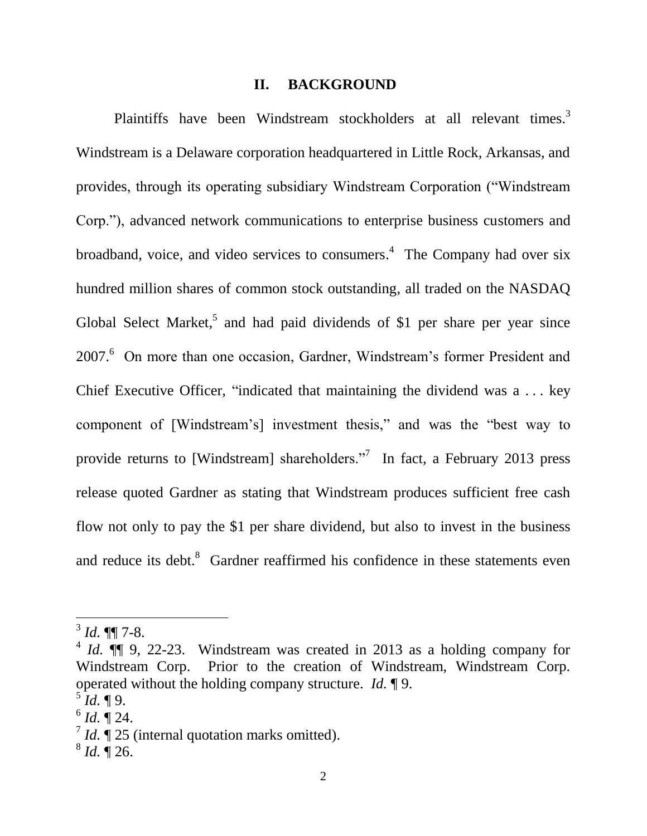#### **II. BACKGROUND**

Plaintiffs have been Windstream stockholders at all relevant times.<sup>3</sup> Windstream is a Delaware corporation headquartered in Little Rock, Arkansas, and provides, through its operating subsidiary Windstream Corporation ("Windstream Corp."), advanced network communications to enterprise business customers and broadband, voice, and video services to consumers. 4 The Company had over six hundred million shares of common stock outstanding, all traded on the NASDAQ Global Select Market,<sup>5</sup> and had paid dividends of \$1 per share per year since 2007.<sup>6</sup> On more than one occasion, Gardner, Windstream's former President and Chief Executive Officer, "indicated that maintaining the dividend was a . . . key component of [Windstream's] investment thesis," and was the "best way to provide returns to [Windstream] shareholders."<sup>7</sup> In fact, a February 2013 press release quoted Gardner as stating that Windstream produces sufficient free cash flow not only to pay the \$1 per share dividend, but also to invest in the business and reduce its debt. $8$  Gardner reaffirmed his confidence in these statements even

 $3$  *Id.* **¶** 7-8.

 $4$  *Id.*  $\P$  9, 22-23. Windstream was created in 2013 as a holding company for Windstream Corp. Prior to the creation of Windstream, Windstream Corp. operated without the holding company structure. *Id.* ¶ 9.

 $^{5}$ *Id.* ¶ 9.

 $^6$  *Id.*  $\sqrt{\phantom{a}}$  24.

 $\sqrt{7}$  *Id.*  $\sqrt{25}$  (internal quotation marks omitted).

 $^{8}$  *Id.*  $\overline{)}$  26.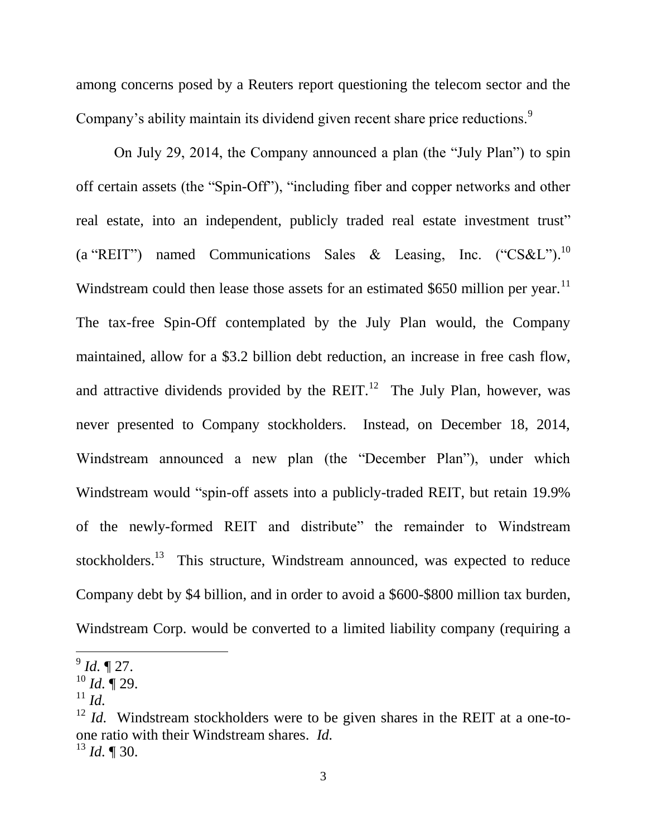among concerns posed by a Reuters report questioning the telecom sector and the Company's ability maintain its dividend given recent share price reductions.<sup>9</sup>

On July 29, 2014, the Company announced a plan (the "July Plan") to spin off certain assets (the "Spin-Off"), "including fiber and copper networks and other real estate, into an independent, publicly traded real estate investment trust" (a "REIT") named Communications Sales & Leasing, Inc. ("CS&L").<sup>10</sup> Windstream could then lease those assets for an estimated \$650 million per year. $11$ The tax-free Spin-Off contemplated by the July Plan would, the Company maintained, allow for a \$3.2 billion debt reduction, an increase in free cash flow, and attractive dividends provided by the REIT.<sup>12</sup> The July Plan, however, was never presented to Company stockholders. Instead, on December 18, 2014, Windstream announced a new plan (the "December Plan"), under which Windstream would "spin-off assets into a publicly-traded REIT, but retain 19.9% of the newly-formed REIT and distribute" the remainder to Windstream stockholders.<sup>13</sup> This structure, Windstream announced, was expected to reduce Company debt by \$4 billion, and in order to avoid a \$600-\$800 million tax burden, Windstream Corp. would be converted to a limited liability company (requiring a

<sup>9</sup> *Id.* ¶ 27.

<sup>10</sup> *Id.* ¶ 29.

 $11$  *Id.* 

<sup>&</sup>lt;sup>12</sup> *Id.* Windstream stockholders were to be given shares in the REIT at a one-toone ratio with their Windstream shares. *Id.*  $^{13}$  *Id.* ¶ 30.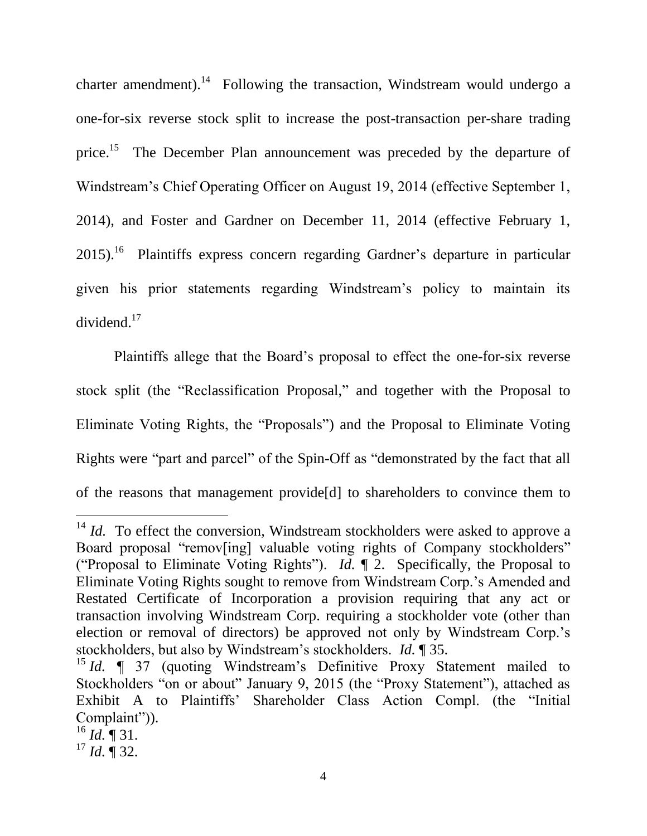charter amendment).<sup>14</sup> Following the transaction, Windstream would undergo a one-for-six reverse stock split to increase the post-transaction per-share trading price.<sup>15</sup> The December Plan announcement was preceded by the departure of Windstream's Chief Operating Officer on August 19, 2014 (effective September 1, 2014), and Foster and Gardner on December 11, 2014 (effective February 1, 2015).<sup>16</sup> Plaintiffs express concern regarding Gardner's departure in particular given his prior statements regarding Windstream's policy to maintain its dividend.<sup>17</sup>

Plaintiffs allege that the Board's proposal to effect the one-for-six reverse stock split (the "Reclassification Proposal," and together with the Proposal to Eliminate Voting Rights, the "Proposals") and the Proposal to Eliminate Voting Rights were "part and parcel" of the Spin-Off as "demonstrated by the fact that all of the reasons that management provide[d] to shareholders to convince them to

 $14$  *Id.* To effect the conversion, Windstream stockholders were asked to approve a Board proposal "remov[ing] valuable voting rights of Company stockholders" ("Proposal to Eliminate Voting Rights"). *Id.* ¶ 2. Specifically, the Proposal to Eliminate Voting Rights sought to remove from Windstream Corp.'s Amended and Restated Certificate of Incorporation a provision requiring that any act or transaction involving Windstream Corp. requiring a stockholder vote (other than election or removal of directors) be approved not only by Windstream Corp.'s stockholders, but also by Windstream's stockholders. *Id.* ¶ 35.

<sup>&</sup>lt;sup>15</sup> *Id.*  $\blacksquare$  37 (quoting Windstream's Definitive Proxy Statement mailed to Stockholders "on or about" January 9, 2015 (the "Proxy Statement"), attached as Exhibit A to Plaintiffs' Shareholder Class Action Compl. (the "Initial Complaint")).

 $^{16}$  *Id.*  $\sqrt{\ }$  31.

<sup>17</sup> *Id.* ¶ 32.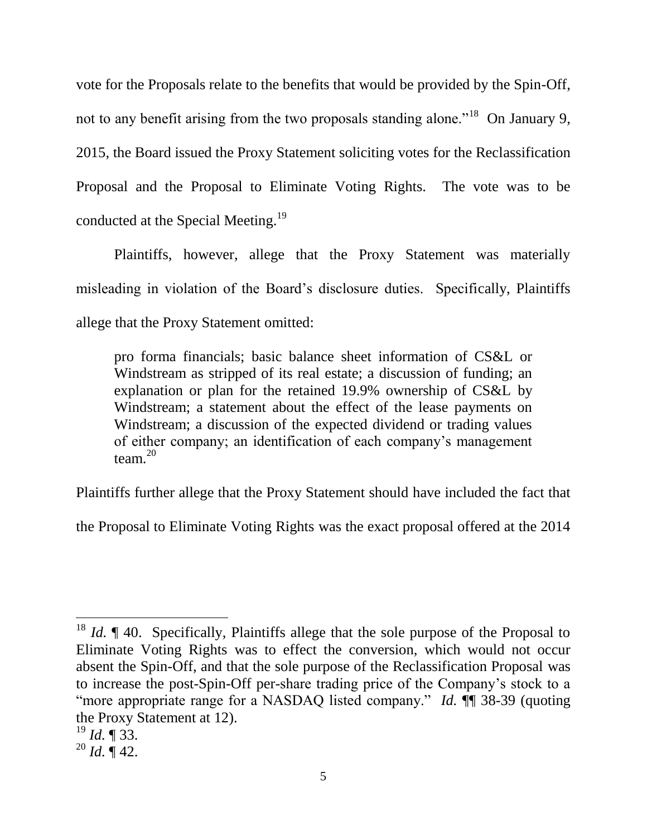vote for the Proposals relate to the benefits that would be provided by the Spin-Off, not to any benefit arising from the two proposals standing alone."<sup>18</sup> On January 9, 2015, the Board issued the Proxy Statement soliciting votes for the Reclassification Proposal and the Proposal to Eliminate Voting Rights. The vote was to be conducted at the Special Meeting.<sup>19</sup>

Plaintiffs, however, allege that the Proxy Statement was materially misleading in violation of the Board's disclosure duties. Specifically, Plaintiffs allege that the Proxy Statement omitted:

pro forma financials; basic balance sheet information of CS&L or Windstream as stripped of its real estate; a discussion of funding; an explanation or plan for the retained 19.9% ownership of CS&L by Windstream; a statement about the effect of the lease payments on Windstream; a discussion of the expected dividend or trading values of either company; an identification of each company's management team.<sup>20</sup>

Plaintiffs further allege that the Proxy Statement should have included the fact that

the Proposal to Eliminate Voting Rights was the exact proposal offered at the 2014

<sup>&</sup>lt;sup>18</sup> *Id.*  $\parallel$  40. Specifically, Plaintiffs allege that the sole purpose of the Proposal to Eliminate Voting Rights was to effect the conversion, which would not occur absent the Spin-Off, and that the sole purpose of the Reclassification Proposal was to increase the post-Spin-Off per-share trading price of the Company's stock to a "more appropriate range for a NASDAQ listed company." *Id.* ¶¶ 38-39 (quoting the Proxy Statement at 12).

<sup>19</sup> *Id.* ¶ 33.

 $^{20}$  *Id.*  $\overline{$  42.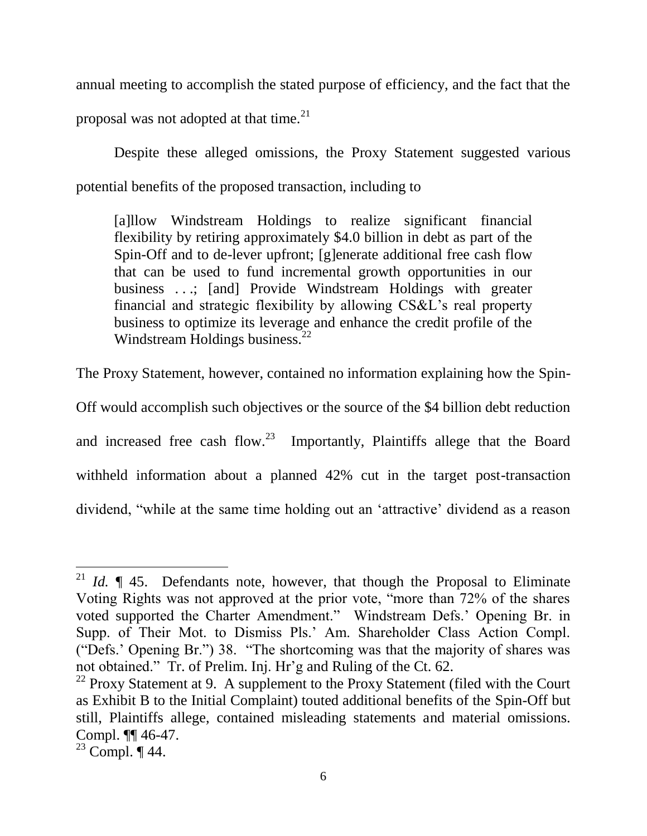annual meeting to accomplish the stated purpose of efficiency, and the fact that the proposal was not adopted at that time. $^{21}$ 

Despite these alleged omissions, the Proxy Statement suggested various potential benefits of the proposed transaction, including to

[a]llow Windstream Holdings to realize significant financial flexibility by retiring approximately \$4.0 billion in debt as part of the Spin-Off and to de-lever upfront; [g]enerate additional free cash flow that can be used to fund incremental growth opportunities in our business ...; [and] Provide Windstream Holdings with greater financial and strategic flexibility by allowing CS&L's real property business to optimize its leverage and enhance the credit profile of the Windstream Holdings business.<sup>22</sup>

The Proxy Statement, however, contained no information explaining how the Spin-

Off would accomplish such objectives or the source of the \$4 billion debt reduction and increased free cash flow.<sup>23</sup> Importantly, Plaintiffs allege that the Board withheld information about a planned 42% cut in the target post-transaction dividend, "while at the same time holding out an 'attractive' dividend as a reason

<sup>&</sup>lt;sup>21</sup> *Id.*  $\parallel$  45. Defendants note, however, that though the Proposal to Eliminate Voting Rights was not approved at the prior vote, "more than 72% of the shares voted supported the Charter Amendment." Windstream Defs.' Opening Br. in Supp. of Their Mot. to Dismiss Pls.' Am. Shareholder Class Action Compl. ("Defs.' Opening Br.") 38. "The shortcoming was that the majority of shares was not obtained." Tr. of Prelim. Inj. Hr'g and Ruling of the Ct. 62.

 $22$  Proxy Statement at 9. A supplement to the Proxy Statement (filed with the Court as Exhibit B to the Initial Complaint) touted additional benefits of the Spin-Off but still, Plaintiffs allege, contained misleading statements and material omissions. Compl. ¶¶ 46-47.

<sup>23</sup> Compl. ¶ 44.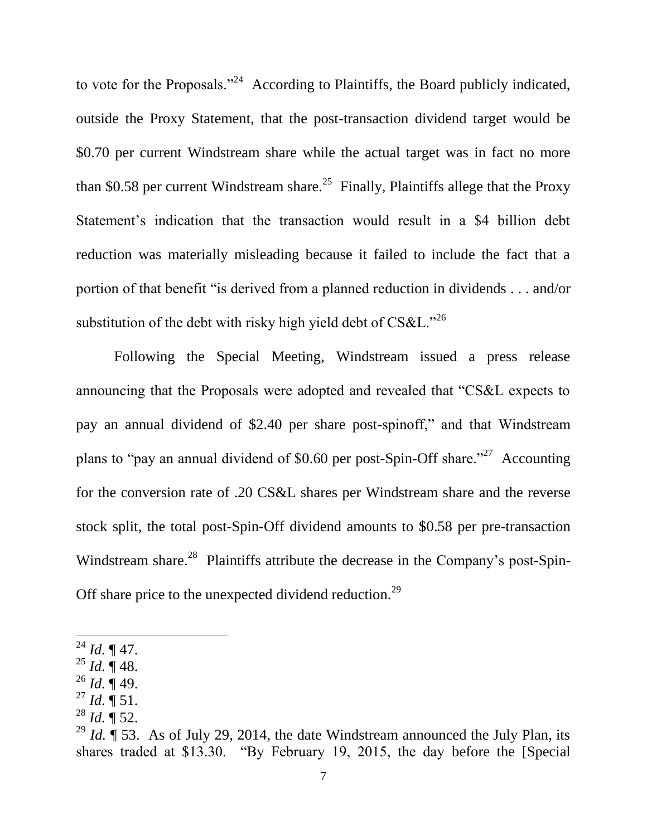to vote for the Proposals."<sup>24</sup> According to Plaintiffs, the Board publicly indicated, outside the Proxy Statement, that the post-transaction dividend target would be \$0.70 per current Windstream share while the actual target was in fact no more than \$0.58 per current Windstream share.<sup>25</sup> Finally, Plaintiffs allege that the Proxy Statement's indication that the transaction would result in a \$4 billion debt reduction was materially misleading because it failed to include the fact that a portion of that benefit "is derived from a planned reduction in dividends . . . and/or substitution of the debt with risky high yield debt of CS&L."<sup>26</sup>

Following the Special Meeting, Windstream issued a press release announcing that the Proposals were adopted and revealed that "CS&L expects to pay an annual dividend of \$2.40 per share post-spinoff," and that Windstream plans to "pay an annual dividend of \$0.60 per post-Spin-Off share."<sup>27</sup> Accounting for the conversion rate of .20 CS&L shares per Windstream share and the reverse stock split, the total post-Spin-Off dividend amounts to \$0.58 per pre-transaction Windstream share.<sup>28</sup> Plaintiffs attribute the decrease in the Company's post-Spin-Off share price to the unexpected dividend reduction.<sup>29</sup>

- $^{25}$  *Id.*  $\overline{9}$  48.
- $^{26}$  *Id.*  $\overline{)}$  49.
- $^{27}$  *Id.*  $\sqrt{\phantom{0}}$  51.
- $^{28}$  *Id.*  $\overline{9}$  52.

 $^{24}$  *Id.* ¶ 47.

<sup>&</sup>lt;sup>29</sup> *Id.*  $\int$  53. As of July 29, 2014, the date Windstream announced the July Plan, its shares traded at \$13.30. "By February 19, 2015, the day before the [Special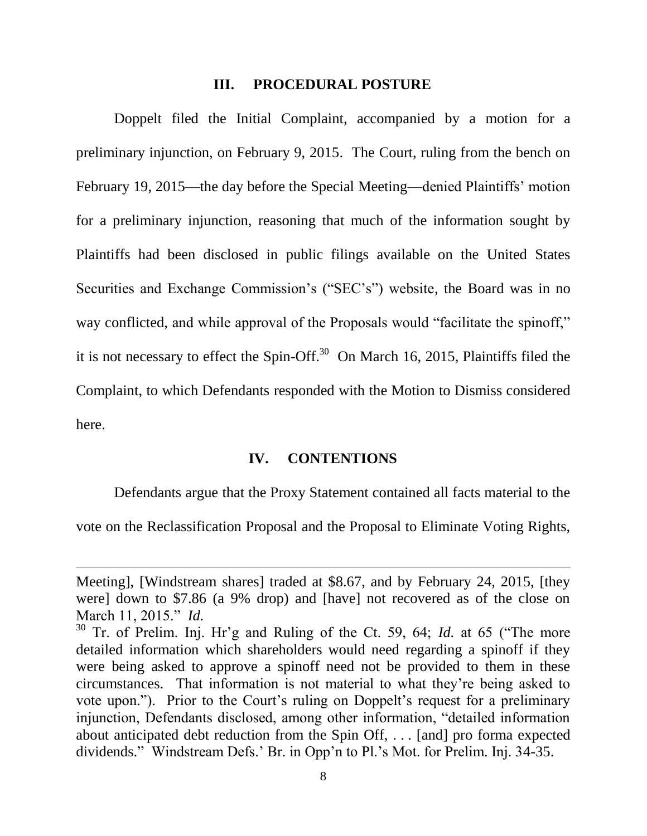#### **III. PROCEDURAL POSTURE**

Doppelt filed the Initial Complaint, accompanied by a motion for a preliminary injunction, on February 9, 2015. The Court, ruling from the bench on February 19, 2015—the day before the Special Meeting—denied Plaintiffs' motion for a preliminary injunction, reasoning that much of the information sought by Plaintiffs had been disclosed in public filings available on the United States Securities and Exchange Commission's ("SEC's") website, the Board was in no way conflicted, and while approval of the Proposals would "facilitate the spinoff," it is not necessary to effect the Spin-Off.<sup>30</sup> On March 16, 2015, Plaintiffs filed the Complaint, to which Defendants responded with the Motion to Dismiss considered here.

### **IV. CONTENTIONS**

Defendants argue that the Proxy Statement contained all facts material to the

vote on the Reclassification Proposal and the Proposal to Eliminate Voting Rights,

Meeting], [Windstream shares] traded at \$8.67, and by February 24, 2015, [they were] down to \$7.86 (a 9% drop) and [have] not recovered as of the close on March 11, 2015." *Id.*

<sup>30</sup> Tr. of Prelim. Inj. Hr'g and Ruling of the Ct. 59, 64; *Id.* at 65 ("The more detailed information which shareholders would need regarding a spinoff if they were being asked to approve a spinoff need not be provided to them in these circumstances. That information is not material to what they're being asked to vote upon."). Prior to the Court's ruling on Doppelt's request for a preliminary injunction, Defendants disclosed, among other information, "detailed information about anticipated debt reduction from the Spin Off, . . . [and] pro forma expected dividends." Windstream Defs.' Br. in Opp'n to Pl.'s Mot. for Prelim. Inj. 34-35.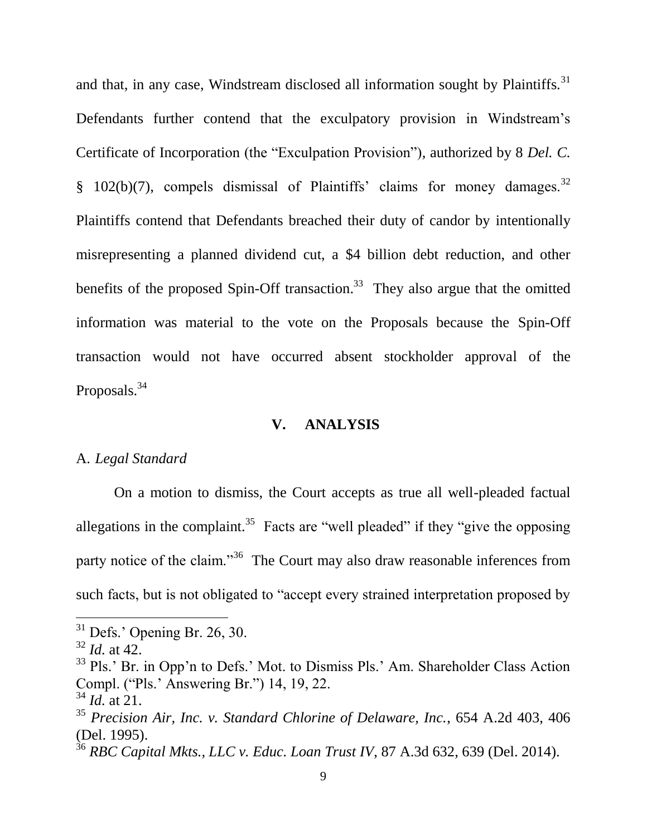and that, in any case, Windstream disclosed all information sought by Plaintiffs.<sup>31</sup> Defendants further contend that the exculpatory provision in Windstream's Certificate of Incorporation (the "Exculpation Provision"), authorized by 8 *Del. C.* § 102(b)(7), compels dismissal of Plaintiffs' claims for money damages.  $32$ Plaintiffs contend that Defendants breached their duty of candor by intentionally misrepresenting a planned dividend cut, a \$4 billion debt reduction, and other benefits of the proposed Spin-Off transaction.<sup>33</sup> They also argue that the omitted information was material to the vote on the Proposals because the Spin-Off transaction would not have occurred absent stockholder approval of the Proposals.<sup>34</sup>

## **V. ANALYSIS**

## A. *Legal Standard*

On a motion to dismiss, the Court accepts as true all well-pleaded factual allegations in the complaint.<sup>35</sup> Facts are "well pleaded" if they "give the opposing party notice of the claim."<sup>36</sup> The Court may also draw reasonable inferences from such facts, but is not obligated to "accept every strained interpretation proposed by

 $31$  Defs.' Opening Br. 26, 30.

<sup>32</sup> *Id.* at 42.

<sup>&</sup>lt;sup>33</sup> Pls.' Br. in Opp'n to Defs.' Mot. to Dismiss Pls.' Am. Shareholder Class Action Compl. ("Pls.' Answering Br.") 14, 19, 22.

 $34$  *Id.* at 21.

<sup>35</sup> *Precision Air, Inc. v. Standard Chlorine of Delaware, Inc.*, 654 A.2d 403, 406 (Del. 1995).

<sup>36</sup> *RBC Capital Mkts., LLC v. Educ. Loan Trust IV*, 87 A.3d 632, 639 (Del. 2014).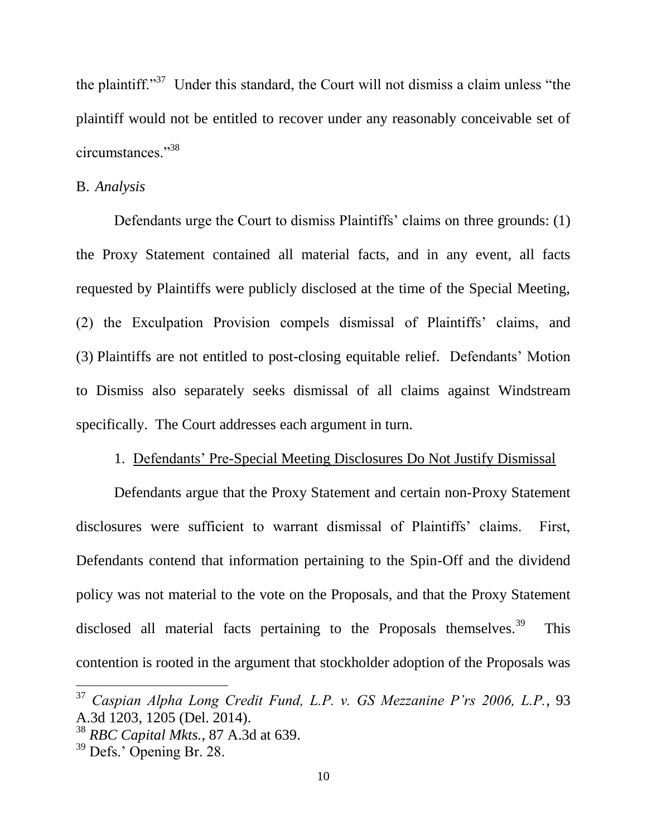the plaintiff."<sup>37</sup> Under this standard, the Court will not dismiss a claim unless "the plaintiff would not be entitled to recover under any reasonably conceivable set of circumstances."<sup>38</sup>

#### B. *Analysis*

Defendants urge the Court to dismiss Plaintiffs' claims on three grounds: (1) the Proxy Statement contained all material facts, and in any event, all facts requested by Plaintiffs were publicly disclosed at the time of the Special Meeting, (2) the Exculpation Provision compels dismissal of Plaintiffs' claims, and (3) Plaintiffs are not entitled to post-closing equitable relief. Defendants' Motion to Dismiss also separately seeks dismissal of all claims against Windstream specifically. The Court addresses each argument in turn.

#### 1. Defendants' Pre-Special Meeting Disclosures Do Not Justify Dismissal

Defendants argue that the Proxy Statement and certain non-Proxy Statement disclosures were sufficient to warrant dismissal of Plaintiffs' claims. First, Defendants contend that information pertaining to the Spin-Off and the dividend policy was not material to the vote on the Proposals, and that the Proxy Statement disclosed all material facts pertaining to the Proposals themselves.<sup>39</sup> This contention is rooted in the argument that stockholder adoption of the Proposals was

<sup>37</sup> *Caspian Alpha Long Credit Fund, L.P. v. GS Mezzanine P'rs 2006, L.P.*, 93 A.3d 1203, 1205 (Del. 2014).

<sup>38</sup> *RBC Capital Mkts.*, 87 A.3d at 639.

<sup>39</sup> Defs.' Opening Br. 28.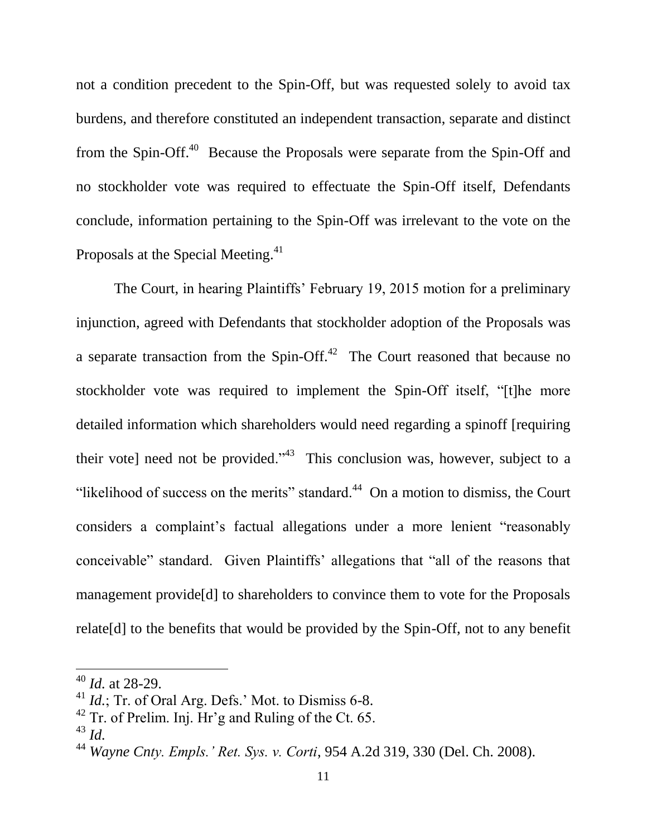not a condition precedent to the Spin-Off, but was requested solely to avoid tax burdens, and therefore constituted an independent transaction, separate and distinct from the Spin-Off.<sup>40</sup> Because the Proposals were separate from the Spin-Off and no stockholder vote was required to effectuate the Spin-Off itself, Defendants conclude, information pertaining to the Spin-Off was irrelevant to the vote on the Proposals at the Special Meeting.<sup>41</sup>

The Court, in hearing Plaintiffs' February 19, 2015 motion for a preliminary injunction, agreed with Defendants that stockholder adoption of the Proposals was a separate transaction from the Spin-Off. $42$  The Court reasoned that because no stockholder vote was required to implement the Spin-Off itself, "[t]he more detailed information which shareholders would need regarding a spinoff [requiring their vote] need not be provided.<sup> $343$ </sup> This conclusion was, however, subject to a "likelihood of success on the merits" standard. $44$  On a motion to dismiss, the Court considers a complaint's factual allegations under a more lenient "reasonably conceivable" standard. Given Plaintiffs' allegations that "all of the reasons that management provide[d] to shareholders to convince them to vote for the Proposals relate[d] to the benefits that would be provided by the Spin-Off, not to any benefit

<sup>40</sup> *Id.* at 28-29.

<sup>&</sup>lt;sup>41</sup> *Id.*; Tr. of Oral Arg. Defs.' Mot. to Dismiss 6-8.

 $^{42}$  Tr. of Prelim. Inj. Hr'g and Ruling of the Ct. 65.

<sup>43</sup> *Id.*

<sup>44</sup> *Wayne Cnty. Empls.' Ret. Sys. v. Corti*, 954 A.2d 319, 330 (Del. Ch. 2008).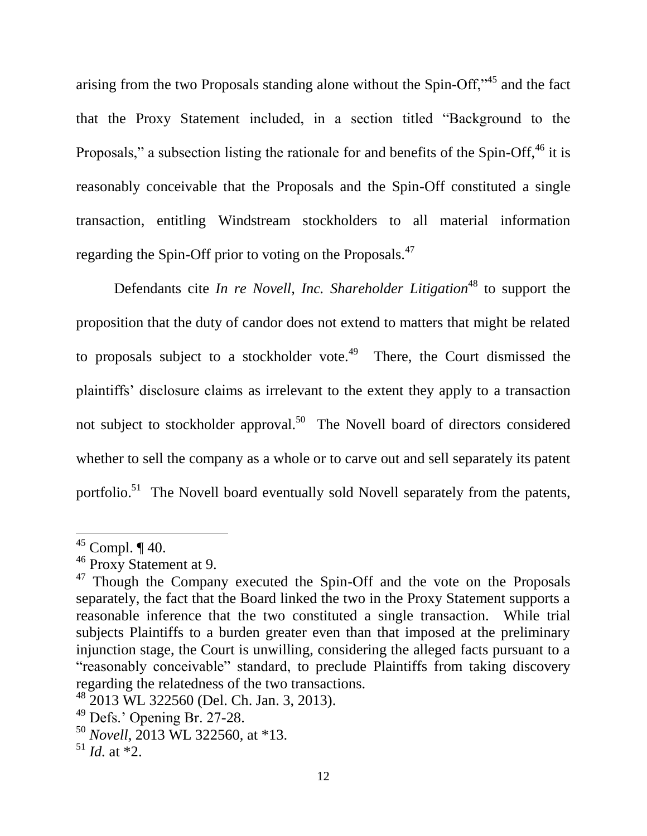arising from the two Proposals standing alone without the Spin-Off,"<sup>45</sup> and the fact that the Proxy Statement included, in a section titled "Background to the Proposals," a subsection listing the rationale for and benefits of the Spin-Off,<sup>46</sup> it is reasonably conceivable that the Proposals and the Spin-Off constituted a single transaction, entitling Windstream stockholders to all material information regarding the Spin-Off prior to voting on the Proposals.<sup>47</sup>

Defendants cite *In re Novell, Inc. Shareholder Litigation*<sup>48</sup> to support the proposition that the duty of candor does not extend to matters that might be related to proposals subject to a stockholder vote.<sup>49</sup> There, the Court dismissed the plaintiffs' disclosure claims as irrelevant to the extent they apply to a transaction not subject to stockholder approval.<sup>50</sup> The Novell board of directors considered whether to sell the company as a whole or to carve out and sell separately its patent portfolio.<sup>51</sup> The Novell board eventually sold Novell separately from the patents,

 $45$  Compl.  $\P$  40.

<sup>46</sup> Proxy Statement at 9.

<sup>&</sup>lt;sup>47</sup> Though the Company executed the Spin-Off and the vote on the Proposals separately, the fact that the Board linked the two in the Proxy Statement supports a reasonable inference that the two constituted a single transaction. While trial subjects Plaintiffs to a burden greater even than that imposed at the preliminary injunction stage, the Court is unwilling, considering the alleged facts pursuant to a "reasonably conceivable" standard, to preclude Plaintiffs from taking discovery regarding the relatedness of the two transactions.

 $48\overline{2}013$  WL 322560 (Del. Ch. Jan. 3, 2013).

<sup>49</sup> Defs.' Opening Br. 27-28.

<sup>50</sup> *Novell*, 2013 WL 322560, at \*13.

 $^{51}$  *Id.* at \*2.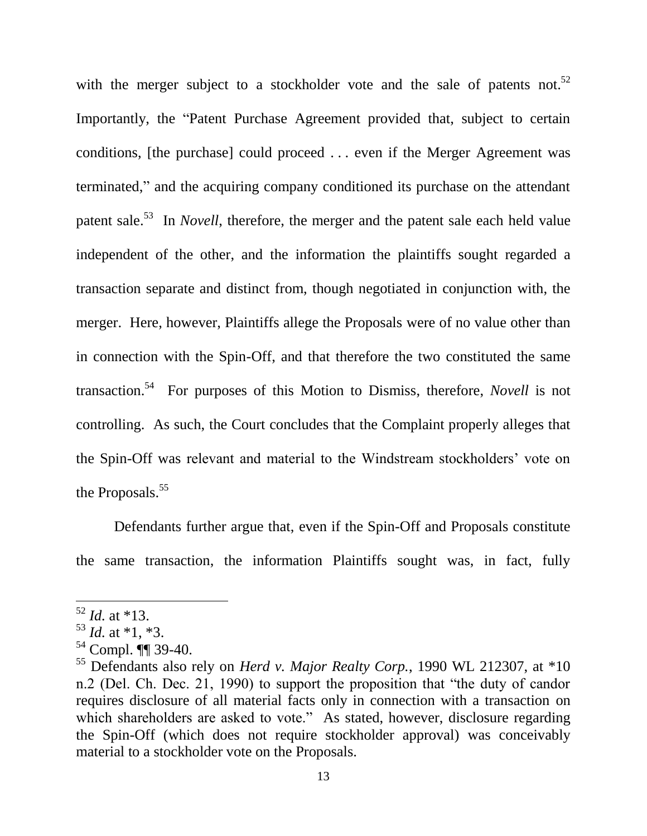with the merger subject to a stockholder vote and the sale of patents not.<sup>52</sup> Importantly, the "Patent Purchase Agreement provided that, subject to certain conditions, [the purchase] could proceed . . . even if the Merger Agreement was terminated," and the acquiring company conditioned its purchase on the attendant patent sale.<sup>53</sup> In *Novell*, therefore, the merger and the patent sale each held value independent of the other, and the information the plaintiffs sought regarded a transaction separate and distinct from, though negotiated in conjunction with, the merger. Here, however, Plaintiffs allege the Proposals were of no value other than in connection with the Spin-Off, and that therefore the two constituted the same transaction. 54 For purposes of this Motion to Dismiss, therefore, *Novell* is not controlling. As such, the Court concludes that the Complaint properly alleges that the Spin-Off was relevant and material to the Windstream stockholders' vote on the Proposals.<sup>55</sup>

Defendants further argue that, even if the Spin-Off and Proposals constitute the same transaction, the information Plaintiffs sought was, in fact, fully

 $52$  *Id.* at \*13.

 $^{53}$  *Id.* at \*1, \*3.

<sup>54</sup> Compl. ¶¶ 39-40.

<sup>55</sup> Defendants also rely on *Herd v. Major Realty Corp.*, 1990 WL 212307, at \*10 n.2 (Del. Ch. Dec. 21, 1990) to support the proposition that "the duty of candor requires disclosure of all material facts only in connection with a transaction on which shareholders are asked to vote." As stated, however, disclosure regarding the Spin-Off (which does not require stockholder approval) was conceivably material to a stockholder vote on the Proposals.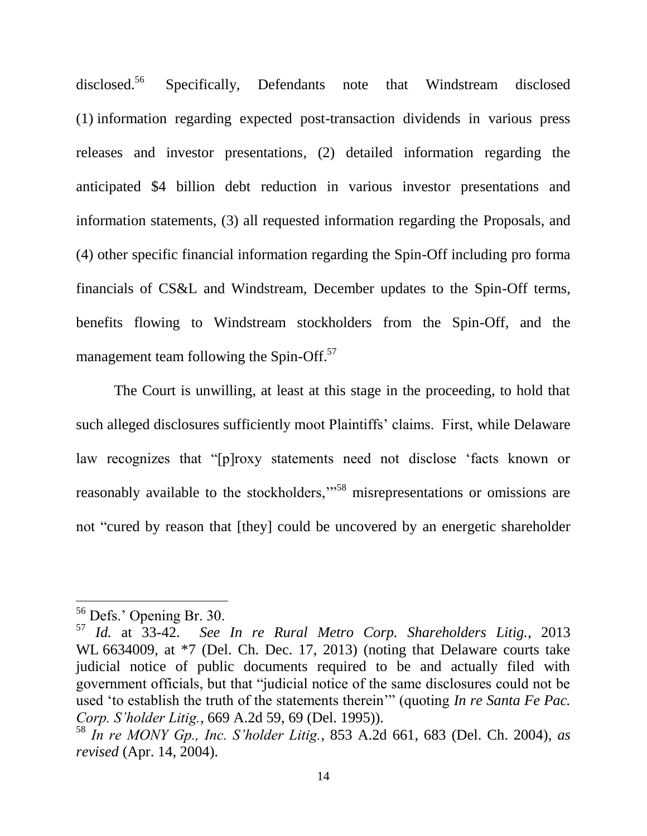disclosed.<sup>56</sup> Specifically, Defendants note that Windstream disclosed (1) information regarding expected post-transaction dividends in various press releases and investor presentations, (2) detailed information regarding the anticipated \$4 billion debt reduction in various investor presentations and information statements, (3) all requested information regarding the Proposals, and (4) other specific financial information regarding the Spin-Off including pro forma financials of CS&L and Windstream, December updates to the Spin-Off terms, benefits flowing to Windstream stockholders from the Spin-Off, and the management team following the Spin-Off.<sup>57</sup>

The Court is unwilling, at least at this stage in the proceeding, to hold that such alleged disclosures sufficiently moot Plaintiffs' claims. First, while Delaware law recognizes that "[p]roxy statements need not disclose 'facts known or reasonably available to the stockholders,"<sup>58</sup> misrepresentations or omissions are not "cured by reason that [they] could be uncovered by an energetic shareholder

<sup>&</sup>lt;sup>56</sup> Defs.' Opening Br. 30.

<sup>57</sup> *Id.* at 33-42. *See In re Rural Metro Corp. Shareholders Litig.*, 2013 WL 6634009, at \*7 (Del. Ch. Dec. 17, 2013) (noting that Delaware courts take judicial notice of public documents required to be and actually filed with government officials, but that "judicial notice of the same disclosures could not be used 'to establish the truth of the statements therein'" (quoting *In re Santa Fe Pac. Corp. S'holder Litig.*, 669 A.2d 59, 69 (Del. 1995)).

<sup>58</sup> *In re MONY Gp., Inc. S'holder Litig.*, 853 A.2d 661, 683 (Del. Ch. 2004), *as revised* (Apr. 14, 2004).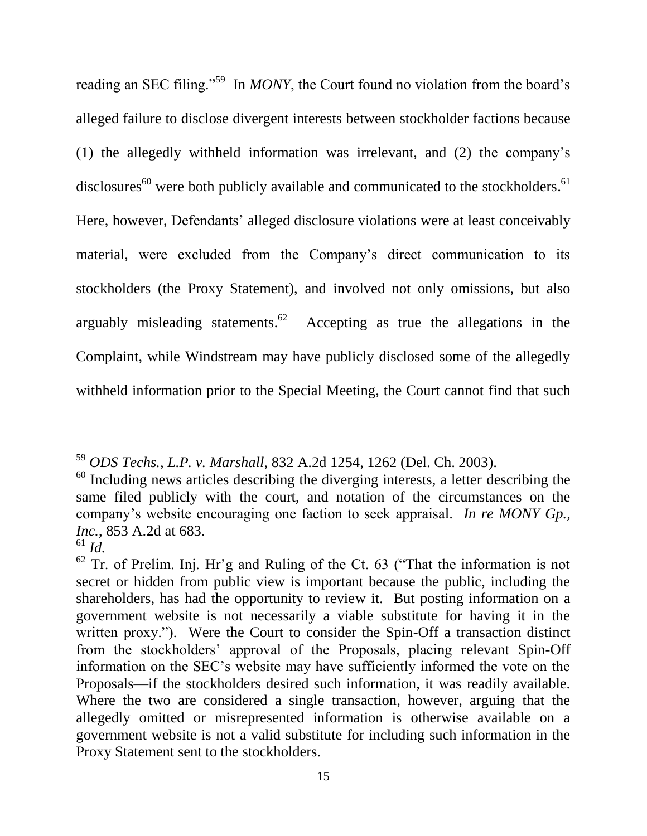reading an SEC filing."<sup>59</sup> In *MONY*, the Court found no violation from the board's alleged failure to disclose divergent interests between stockholder factions because (1) the allegedly withheld information was irrelevant, and (2) the company's disclosures<sup>60</sup> were both publicly available and communicated to the stockholders.<sup>61</sup> Here, however, Defendants' alleged disclosure violations were at least conceivably material, were excluded from the Company's direct communication to its stockholders (the Proxy Statement), and involved not only omissions, but also arguably misleading statements.<sup>62</sup> Accepting as true the allegations in the Complaint, while Windstream may have publicly disclosed some of the allegedly withheld information prior to the Special Meeting, the Court cannot find that such

<sup>59</sup> *ODS Techs., L.P. v. Marshall*, 832 A.2d 1254, 1262 (Del. Ch. 2003).

 $60$  Including news articles describing the diverging interests, a letter describing the same filed publicly with the court, and notation of the circumstances on the company's website encouraging one faction to seek appraisal. *In re MONY Gp., Inc.*, 853 A.2d at 683.

<sup>61</sup> *Id.*

 $62$  Tr. of Prelim. Inj. Hr'g and Ruling of the Ct. 63 ("That the information is not secret or hidden from public view is important because the public, including the shareholders, has had the opportunity to review it. But posting information on a government website is not necessarily a viable substitute for having it in the written proxy."). Were the Court to consider the Spin-Off a transaction distinct from the stockholders' approval of the Proposals, placing relevant Spin-Off information on the SEC's website may have sufficiently informed the vote on the Proposals—if the stockholders desired such information, it was readily available. Where the two are considered a single transaction, however, arguing that the allegedly omitted or misrepresented information is otherwise available on a government website is not a valid substitute for including such information in the Proxy Statement sent to the stockholders.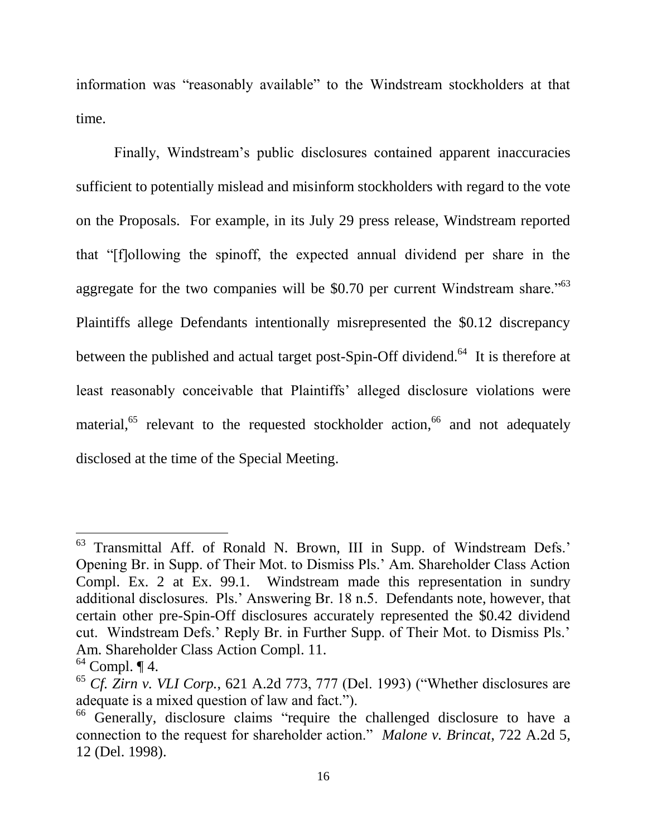information was "reasonably available" to the Windstream stockholders at that time.

Finally, Windstream's public disclosures contained apparent inaccuracies sufficient to potentially mislead and misinform stockholders with regard to the vote on the Proposals. For example, in its July 29 press release, Windstream reported that "[f]ollowing the spinoff, the expected annual dividend per share in the aggregate for the two companies will be \$0.70 per current Windstream share.<sup> $563$ </sup> Plaintiffs allege Defendants intentionally misrepresented the \$0.12 discrepancy between the published and actual target post-Spin-Off dividend.<sup>64</sup> It is therefore at least reasonably conceivable that Plaintiffs' alleged disclosure violations were material, $65$  relevant to the requested stockholder action, $66$  and not adequately disclosed at the time of the Special Meeting.

<sup>63</sup> Transmittal Aff. of Ronald N. Brown, III in Supp. of Windstream Defs.' Opening Br. in Supp. of Their Mot. to Dismiss Pls.' Am. Shareholder Class Action Compl. Ex. 2 at Ex. 99.1. Windstream made this representation in sundry additional disclosures. Pls.' Answering Br. 18 n.5. Defendants note, however, that certain other pre-Spin-Off disclosures accurately represented the \$0.42 dividend cut. Windstream Defs.' Reply Br. in Further Supp. of Their Mot. to Dismiss Pls.' Am. Shareholder Class Action Compl. 11.

 $64$  Compl.  $\P$  4.

<sup>65</sup> *Cf. Zirn v. VLI Corp.*, 621 A.2d 773, 777 (Del. 1993) ("Whether disclosures are adequate is a mixed question of law and fact.").

<sup>&</sup>lt;sup>66</sup> Generally, disclosure claims "require the challenged disclosure to have a connection to the request for shareholder action." *Malone v. Brincat*, 722 A.2d 5, 12 (Del. 1998).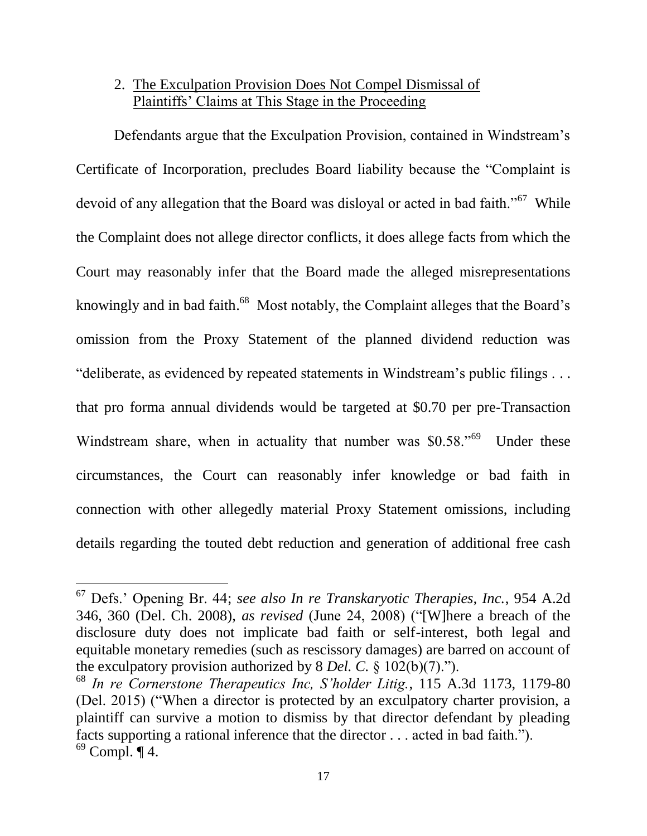# 2. The Exculpation Provision Does Not Compel Dismissal of Plaintiffs' Claims at This Stage in the Proceeding

Defendants argue that the Exculpation Provision, contained in Windstream's Certificate of Incorporation, precludes Board liability because the "Complaint is devoid of any allegation that the Board was disloyal or acted in bad faith."<sup>67</sup> While the Complaint does not allege director conflicts, it does allege facts from which the Court may reasonably infer that the Board made the alleged misrepresentations knowingly and in bad faith.<sup>68</sup> Most notably, the Complaint alleges that the Board's omission from the Proxy Statement of the planned dividend reduction was "deliberate, as evidenced by repeated statements in Windstream's public filings . . . that pro forma annual dividends would be targeted at \$0.70 per pre-Transaction Windstream share, when in actuality that number was \$0.58."<sup>69</sup> Under these circumstances, the Court can reasonably infer knowledge or bad faith in connection with other allegedly material Proxy Statement omissions, including details regarding the touted debt reduction and generation of additional free cash

<sup>67</sup> Defs.' Opening Br. 44; *see also In re Transkaryotic Therapies, Inc.*, 954 A.2d 346, 360 (Del. Ch. 2008), *as revised* (June 24, 2008) ("[W]here a breach of the disclosure duty does not implicate bad faith or self-interest, both legal and equitable monetary remedies (such as rescissory damages) are barred on account of the exculpatory provision authorized by 8 *Del. C.* § 102(b)(7).").

<sup>68</sup> *In re Cornerstone Therapeutics Inc, S'holder Litig.*, 115 A.3d 1173, 1179-80 (Del. 2015) ("When a director is protected by an exculpatory charter provision, a plaintiff can survive a motion to dismiss by that director defendant by pleading facts supporting a rational inference that the director . . . acted in bad faith.").  $69$  Compl.  $\P$  4.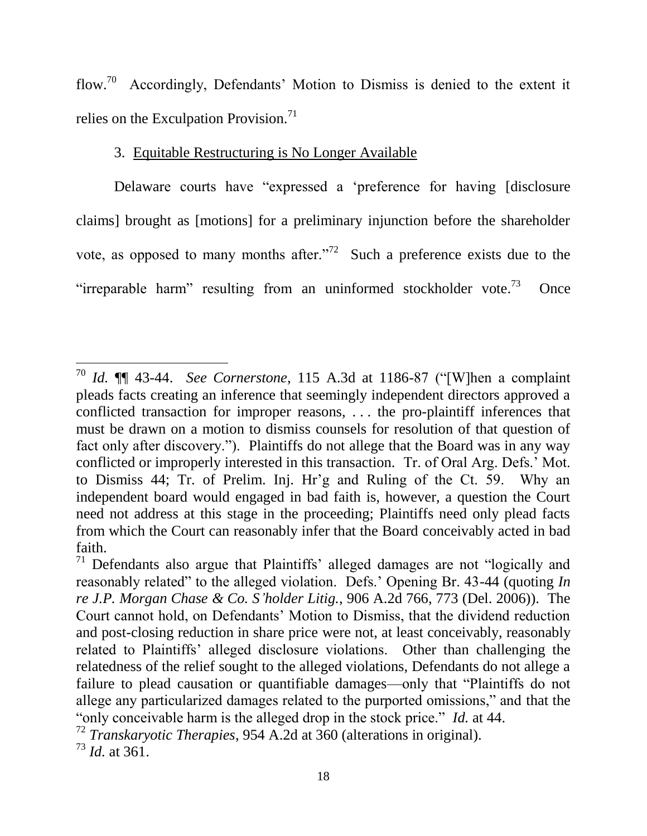flow.<sup>70</sup> Accordingly, Defendants' Motion to Dismiss is denied to the extent it relies on the Exculpation Provision.<sup>71</sup>

## 3. Equitable Restructuring is No Longer Available

Delaware courts have "expressed a 'preference for having [disclosure claims] brought as [motions] for a preliminary injunction before the shareholder vote, as opposed to many months after.<sup>772</sup> Such a preference exists due to the "irreparable harm" resulting from an uninformed stockholder vote.<sup>73</sup> **Once** 

<sup>70</sup> *Id.* ¶¶ 43-44. *See Cornerstone*, 115 A.3d at 1186-87 ("[W]hen a complaint pleads facts creating an inference that seemingly independent directors approved a conflicted transaction for improper reasons, . . . the pro-plaintiff inferences that must be drawn on a motion to dismiss counsels for resolution of that question of fact only after discovery."). Plaintiffs do not allege that the Board was in any way conflicted or improperly interested in this transaction. Tr. of Oral Arg. Defs.' Mot. to Dismiss 44; Tr. of Prelim. Inj. Hr'g and Ruling of the Ct. 59. Why an independent board would engaged in bad faith is, however, a question the Court need not address at this stage in the proceeding; Plaintiffs need only plead facts from which the Court can reasonably infer that the Board conceivably acted in bad faith.

<sup>&</sup>lt;sup>71</sup> Defendants also argue that Plaintiffs' alleged damages are not "logically and reasonably related" to the alleged violation. Defs.' Opening Br. 43-44 (quoting *In re J.P. Morgan Chase & Co. S'holder Litig.*, 906 A.2d 766, 773 (Del. 2006)). The Court cannot hold, on Defendants' Motion to Dismiss, that the dividend reduction and post-closing reduction in share price were not, at least conceivably, reasonably related to Plaintiffs' alleged disclosure violations. Other than challenging the relatedness of the relief sought to the alleged violations, Defendants do not allege a failure to plead causation or quantifiable damages—only that "Plaintiffs do not allege any particularized damages related to the purported omissions," and that the "only conceivable harm is the alleged drop in the stock price." *Id.* at 44.

<sup>72</sup> *Transkaryotic Therapies*, 954 A.2d at 360 (alterations in original).

<sup>73</sup> *Id.* at 361.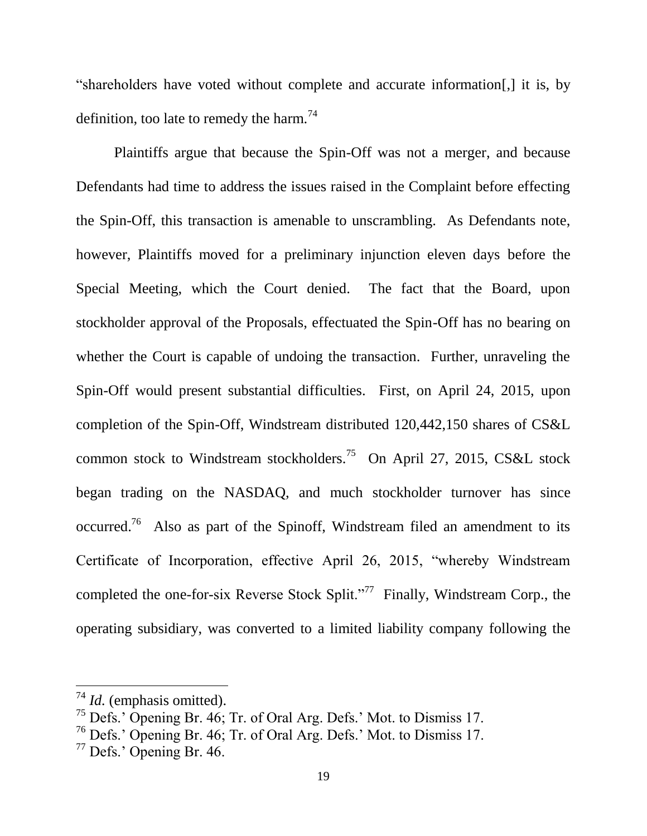"shareholders have voted without complete and accurate information[,] it is, by definition, too late to remedy the harm.<sup>74</sup>

Plaintiffs argue that because the Spin-Off was not a merger, and because Defendants had time to address the issues raised in the Complaint before effecting the Spin-Off, this transaction is amenable to unscrambling. As Defendants note, however, Plaintiffs moved for a preliminary injunction eleven days before the Special Meeting, which the Court denied. The fact that the Board, upon stockholder approval of the Proposals, effectuated the Spin-Off has no bearing on whether the Court is capable of undoing the transaction. Further, unraveling the Spin-Off would present substantial difficulties. First, on April 24, 2015, upon completion of the Spin-Off, Windstream distributed 120,442,150 shares of CS&L common stock to Windstream stockholders.<sup>75</sup> On April 27, 2015, CS&L stock began trading on the NASDAQ, and much stockholder turnover has since occurred.<sup>76</sup> Also as part of the Spinoff, Windstream filed an amendment to its Certificate of Incorporation, effective April 26, 2015, "whereby Windstream completed the one-for-six Reverse Stock Split."<sup>77</sup> Finally, Windstream Corp., the operating subsidiary, was converted to a limited liability company following the

<sup>74</sup> *Id.* (emphasis omitted).

<sup>75</sup> Defs.' Opening Br. 46; Tr. of Oral Arg. Defs.' Mot. to Dismiss 17.

<sup>76</sup> Defs.' Opening Br. 46; Tr. of Oral Arg. Defs.' Mot. to Dismiss 17.

<sup>77</sup> Defs.' Opening Br. 46.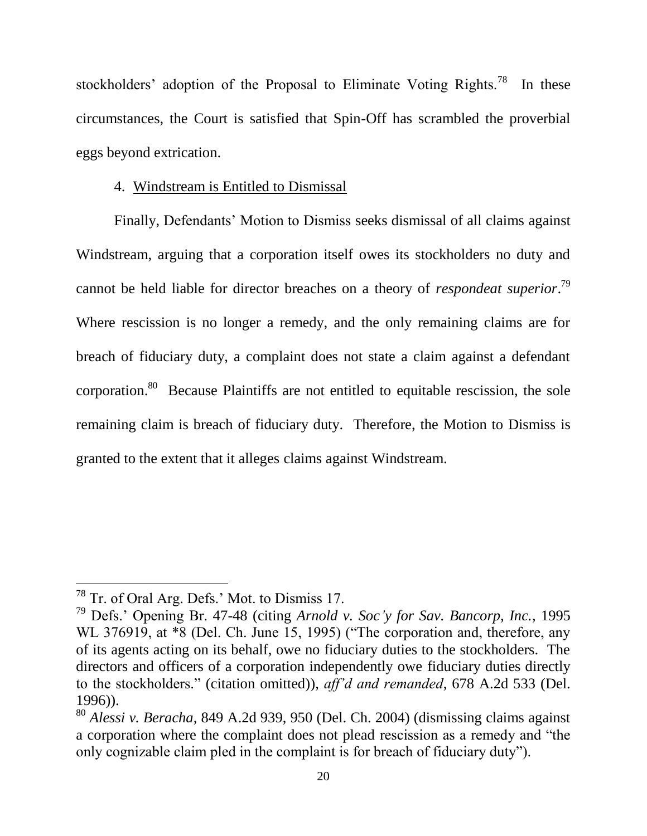stockholders' adoption of the Proposal to Eliminate Voting Rights.<sup>78</sup> In these circumstances, the Court is satisfied that Spin-Off has scrambled the proverbial eggs beyond extrication.

## 4. Windstream is Entitled to Dismissal

Finally, Defendants' Motion to Dismiss seeks dismissal of all claims against Windstream, arguing that a corporation itself owes its stockholders no duty and cannot be held liable for director breaches on a theory of *respondeat superior*. 79 Where rescission is no longer a remedy, and the only remaining claims are for breach of fiduciary duty, a complaint does not state a claim against a defendant corporation.<sup>80</sup> Because Plaintiffs are not entitled to equitable rescission, the sole remaining claim is breach of fiduciary duty. Therefore, the Motion to Dismiss is granted to the extent that it alleges claims against Windstream.

<sup>78</sup> Tr. of Oral Arg. Defs.' Mot. to Dismiss 17.

<sup>79</sup> Defs.' Opening Br. 47-48 (citing *Arnold v. Soc'y for Sav. Bancorp, Inc.*, 1995 WL 376919, at  $*8$  (Del. Ch. June 15, 1995) ("The corporation and, therefore, any of its agents acting on its behalf, owe no fiduciary duties to the stockholders. The directors and officers of a corporation independently owe fiduciary duties directly to the stockholders." (citation omitted)), *aff'd and remanded*, 678 A.2d 533 (Del. 1996)).

<sup>80</sup> *Alessi v. Beracha*, 849 A.2d 939, 950 (Del. Ch. 2004) (dismissing claims against a corporation where the complaint does not plead rescission as a remedy and "the only cognizable claim pled in the complaint is for breach of fiduciary duty").